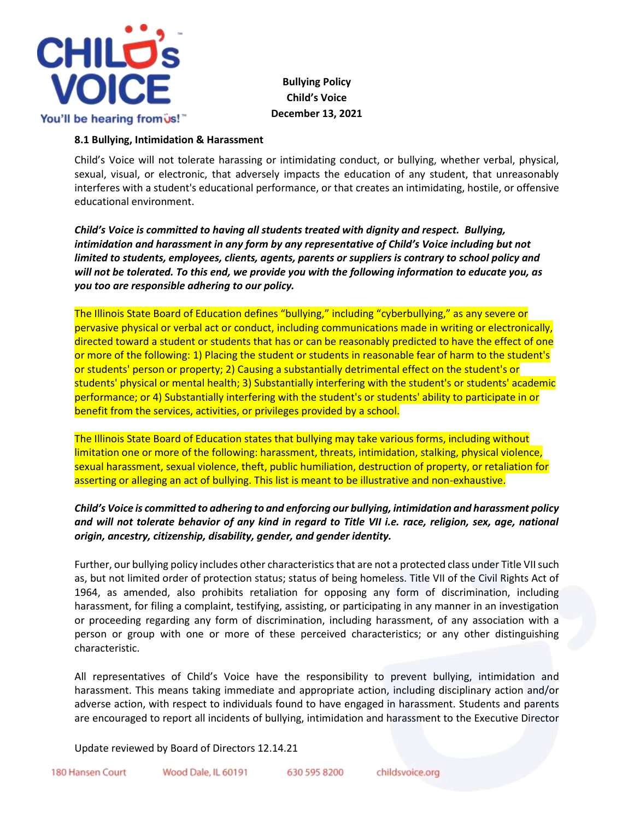

# **Bullying Policy Child's Voice December 13, 2021**

#### **8.1 Bullying, Intimidation & Harassment**

Child's Voice will not tolerate harassing or intimidating conduct, or bullying, whether verbal, physical, sexual, visual, or electronic, that adversely impacts the education of any student, that unreasonably interferes with a student's educational performance, or that creates an intimidating, hostile, or offensive educational environment.

*Child's Voice is committed to having all students treated with dignity and respect. Bullying, intimidation and harassment in any form by any representative of Child's Voice including but not limited to students, employees, clients, agents, parents or suppliers is contrary to school policy and will not be tolerated. To this end, we provide you with the following information to educate you, as you too are responsible adhering to our policy.* 

The Illinois State Board of Education defines "bullying," including "cyberbullying," as any severe or pervasive physical or verbal act or conduct, including communications made in writing or electronically, directed toward a student or students that has or can be reasonably predicted to have the effect of one or more of the following: 1) Placing the student or students in reasonable fear of harm to the student's or students' person or property; 2) Causing a substantially detrimental effect on the student's or students' physical or mental health; 3) Substantially interfering with the student's or students' academic performance; or 4) Substantially interfering with the student's or students' ability to participate in or benefit from the services, activities, or privileges provided by a school.

The Illinois State Board of Education states that bullying may take various forms, including without limitation one or more of the following: harassment, threats, intimidation, stalking, physical violence, sexual harassment, sexual violence, theft, public humiliation, destruction of property, or retaliation for asserting or alleging an act of bullying. This list is meant to be illustrative and non-exhaustive.

# *Child's Voice is committed to adhering to and enforcing our bullying, intimidation and harassment policy and will not tolerate behavior of any kind in regard to Title VII i.e. race, religion, sex, age, national origin, ancestry, citizenship, disability, gender, and gender identity.*

Further, our bullying policy includes other characteristics that are not a protected class under Title VII such as, but not limited order of protection status; status of being homeless. Title VII of the Civil Rights Act of 1964, as amended, also prohibits retaliation for opposing any form of discrimination, including harassment, for filing a complaint, testifying, assisting, or participating in any manner in an investigation or proceeding regarding any form of discrimination, including harassment, of any association with a person or group with one or more of these perceived characteristics; or any other distinguishing characteristic.

All representatives of Child's Voice have the responsibility to prevent bullying, intimidation and harassment. This means taking immediate and appropriate action, including disciplinary action and/or adverse action, with respect to individuals found to have engaged in harassment. Students and parents are encouraged to report all incidents of bullying, intimidation and harassment to the Executive Director

Update reviewed by Board of Directors 12.14.21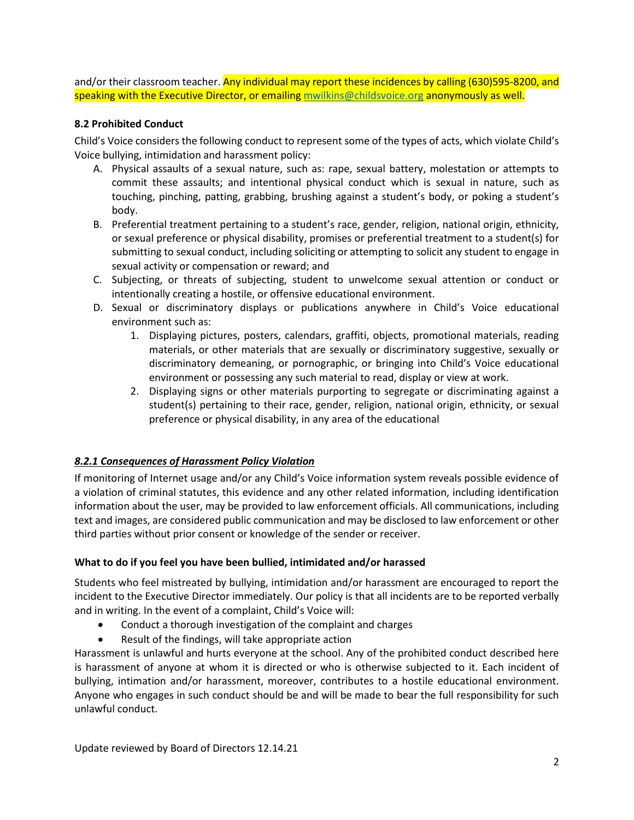and/or their classroom teacher. Any individual may report these incidences by calling (630)595-8200, and speaking with the Executive Director, or emailing [mwilkins@childsvoice.org](mailto:mwilkins@childsvoice.org) anonymously as well.

### **8.2 Prohibited Conduct**

Child's Voice considers the following conduct to represent some of the types of acts, which violate Child's Voice bullying, intimidation and harassment policy:

- A. Physical assaults of a sexual nature, such as: rape, sexual battery, molestation or attempts to commit these assaults; and intentional physical conduct which is sexual in nature, such as touching, pinching, patting, grabbing, brushing against a student's body, or poking a student's body.
- B. Preferential treatment pertaining to a student's race, gender, religion, national origin, ethnicity, or sexual preference or physical disability, promises or preferential treatment to a student(s) for submitting to sexual conduct, including soliciting or attempting to solicit any student to engage in sexual activity or compensation or reward; and
- C. Subjecting, or threats of subjecting, student to unwelcome sexual attention or conduct or intentionally creating a hostile, or offensive educational environment.
- D. Sexual or discriminatory displays or publications anywhere in Child's Voice educational environment such as:
	- 1. Displaying pictures, posters, calendars, graffiti, objects, promotional materials, reading materials, or other materials that are sexually or discriminatory suggestive, sexually or discriminatory demeaning, or pornographic, or bringing into Child's Voice educational environment or possessing any such material to read, display or view at work.
	- 2. Displaying signs or other materials purporting to segregate or discriminating against a student(s) pertaining to their race, gender, religion, national origin, ethnicity, or sexual preference or physical disability, in any area of the educational

# *8.2.1 Consequences of Harassment Policy Violation*

If monitoring of Internet usage and/or any Child's Voice information system reveals possible evidence of a violation of criminal statutes, this evidence and any other related information, including identification information about the user, may be provided to law enforcement officials. All communications, including text and images, are considered public communication and may be disclosed to law enforcement or other third parties without prior consent or knowledge of the sender or receiver.

#### **What to do if you feel you have been bullied, intimidated and/or harassed**

Students who feel mistreated by bullying, intimidation and/or harassment are encouraged to report the incident to the Executive Director immediately. Our policy is that all incidents are to be reported verbally and in writing. In the event of a complaint, Child's Voice will:

- Conduct a thorough investigation of the complaint and charges
- Result of the findings, will take appropriate action

Harassment is unlawful and hurts everyone at the school. Any of the prohibited conduct described here is harassment of anyone at whom it is directed or who is otherwise subjected to it. Each incident of bullying, intimation and/or harassment, moreover, contributes to a hostile educational environment. Anyone who engages in such conduct should be and will be made to bear the full responsibility for such unlawful conduct.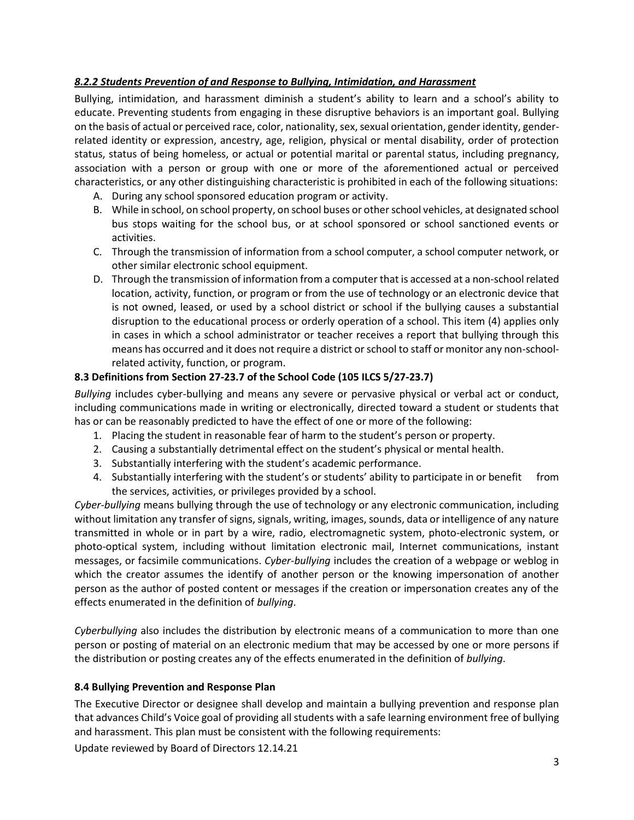# *8.2.2 Students Prevention of and Response to Bullying, Intimidation, and Harassment*

Bullying, intimidation, and harassment diminish a student's ability to learn and a school's ability to educate. Preventing students from engaging in these disruptive behaviors is an important goal. Bullying on the basis of actual or perceived race, color, nationality, sex, sexual orientation, gender identity, genderrelated identity or expression, ancestry, age, religion, physical or mental disability, order of protection status, status of being homeless, or actual or potential marital or parental status, including pregnancy, association with a person or group with one or more of the aforementioned actual or perceived characteristics, or any other distinguishing characteristic is prohibited in each of the following situations:

- A. During any school sponsored education program or activity.
- B. While in school, on school property, on school buses or other school vehicles, at designated school bus stops waiting for the school bus, or at school sponsored or school sanctioned events or activities.
- C. Through the transmission of information from a school computer, a school computer network, or other similar electronic school equipment.
- D. Through the transmission of information from a computer that is accessed at a non-school related location, activity, function, or program or from the use of technology or an electronic device that is not owned, leased, or used by a school district or school if the bullying causes a substantial disruption to the educational process or orderly operation of a school. This item (4) applies only in cases in which a school administrator or teacher receives a report that bullying through this means has occurred and it does not require a district or school to staff or monitor any non-schoolrelated activity, function, or program.

#### **8.3 Definitions from Section 27-23.7 of the School Code (105 ILCS 5/27-23.7)**

*Bullying* includes cyber-bullying and means any severe or pervasive physical or verbal act or conduct, including communications made in writing or electronically, directed toward a student or students that has or can be reasonably predicted to have the effect of one or more of the following:

- 1. Placing the student in reasonable fear of harm to the student's person or property.
- 2. Causing a substantially detrimental effect on the student's physical or mental health.
- 3. Substantially interfering with the student's academic performance.
- 4. Substantially interfering with the student's or students' ability to participate in or benefit from the services, activities, or privileges provided by a school.

*Cyber-bullying* means bullying through the use of technology or any electronic communication, including without limitation any transfer of signs, signals, writing, images, sounds, data or intelligence of any nature transmitted in whole or in part by a wire, radio, electromagnetic system, photo-electronic system, or photo-optical system, including without limitation electronic mail, Internet communications, instant messages, or facsimile communications. *Cyber-bullying* includes the creation of a webpage or weblog in which the creator assumes the identify of another person or the knowing impersonation of another person as the author of posted content or messages if the creation or impersonation creates any of the effects enumerated in the definition of *bullying*.

*Cyberbullying* also includes the distribution by electronic means of a communication to more than one person or posting of material on an electronic medium that may be accessed by one or more persons if the distribution or posting creates any of the effects enumerated in the definition of *bullying*.

#### **8.4 Bullying Prevention and Response Plan**

The Executive Director or designee shall develop and maintain a bullying prevention and response plan that advances Child's Voice goal of providing all students with a safe learning environment free of bullying and harassment. This plan must be consistent with the following requirements:

Update reviewed by Board of Directors 12.14.21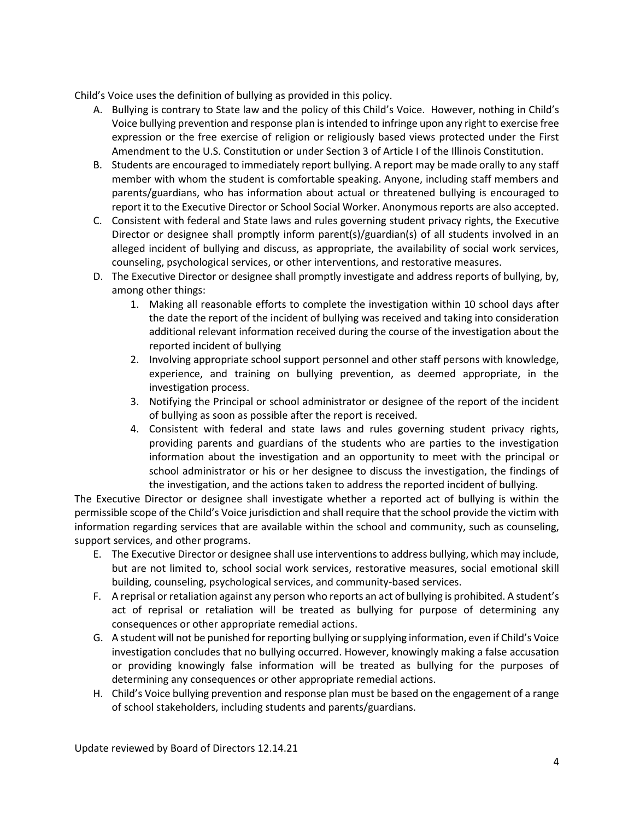Child's Voice uses the definition of bullying as provided in this policy.

- A. Bullying is contrary to State law and the policy of this Child's Voice. However, nothing in Child's Voice bullying prevention and response plan is intended to infringe upon any right to exercise free expression or the free exercise of religion or religiously based views protected under the First Amendment to the U.S. Constitution or under Section 3 of Article I of the Illinois Constitution.
- B. Students are encouraged to immediately report bullying. A report may be made orally to any staff member with whom the student is comfortable speaking. Anyone, including staff members and parents/guardians, who has information about actual or threatened bullying is encouraged to report it to the Executive Director or School Social Worker. Anonymous reports are also accepted.
- C. Consistent with federal and State laws and rules governing student privacy rights, the Executive Director or designee shall promptly inform parent(s)/guardian(s) of all students involved in an alleged incident of bullying and discuss, as appropriate, the availability of social work services, counseling, psychological services, or other interventions, and restorative measures.
- D. The Executive Director or designee shall promptly investigate and address reports of bullying, by, among other things:
	- 1. Making all reasonable efforts to complete the investigation within 10 school days after the date the report of the incident of bullying was received and taking into consideration additional relevant information received during the course of the investigation about the reported incident of bullying
	- 2. Involving appropriate school support personnel and other staff persons with knowledge, experience, and training on bullying prevention, as deemed appropriate, in the investigation process.
	- 3. Notifying the Principal or school administrator or designee of the report of the incident of bullying as soon as possible after the report is received.
	- 4. Consistent with federal and state laws and rules governing student privacy rights, providing parents and guardians of the students who are parties to the investigation information about the investigation and an opportunity to meet with the principal or school administrator or his or her designee to discuss the investigation, the findings of the investigation, and the actions taken to address the reported incident of bullying.

The Executive Director or designee shall investigate whether a reported act of bullying is within the permissible scope of the Child's Voice jurisdiction and shall require that the school provide the victim with information regarding services that are available within the school and community, such as counseling, support services, and other programs.

- E. The Executive Director or designee shall use interventions to address bullying, which may include, but are not limited to, school social work services, restorative measures, social emotional skill building, counseling, psychological services, and community-based services.
- F. A reprisal or retaliation against any person who reports an act of bullying is prohibited. A student's act of reprisal or retaliation will be treated as bullying for purpose of determining any consequences or other appropriate remedial actions.
- G. A student will not be punished for reporting bullying or supplying information, even if Child's Voice investigation concludes that no bullying occurred. However, knowingly making a false accusation or providing knowingly false information will be treated as bullying for the purposes of determining any consequences or other appropriate remedial actions.
- H. Child's Voice bullying prevention and response plan must be based on the engagement of a range of school stakeholders, including students and parents/guardians.